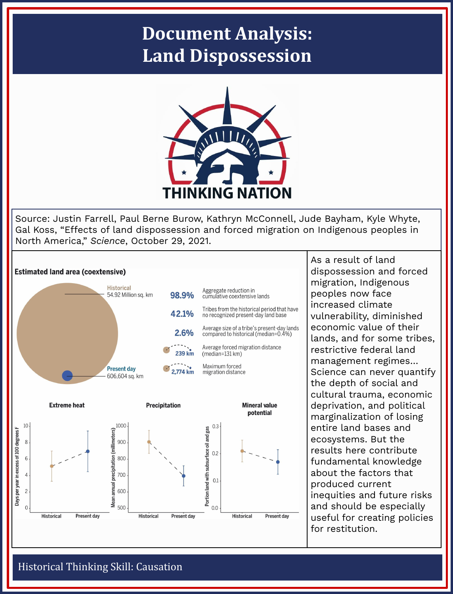## **Document Analysis: Land Dispossession**



Source: Justin Farrell, Paul Berne Burow, Kathryn McConnell, Jude Bayham, Kyle Whyte, Gal Koss, "Effects of land dispossession and forced migration on Indigenous peoples in North America," *Science*, October 29, 2021.



As a result of land dispossession and forced migration, Indigenous peoples now face increased climate vulnerability, diminished economic value of their lands, and for some tribes, restrictive federal land management regimes… Science can never quantify the depth of social and cultural trauma, economic deprivation, and political marginalization of losing entire land bases and ecosystems. But the results here contribute fundamental knowledge about the factors that produced current inequities and future risks and should be especially useful for creating policies for restitution.

## Historical Thinking Skill: Causation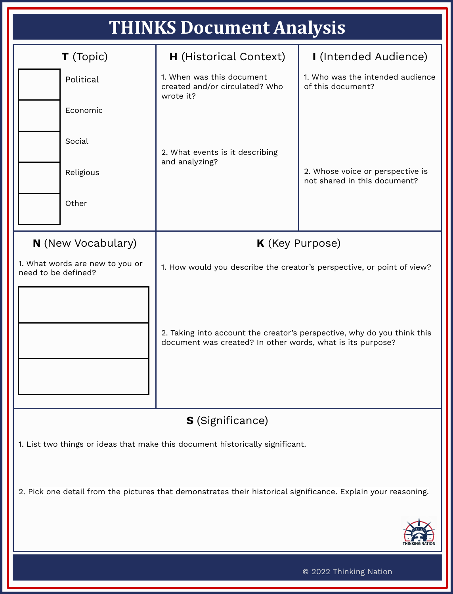| <b>THINKS Document Analysis</b>                                                                                                                                                                                                                                                                                           |                                                                          |                                                                  |
|---------------------------------------------------------------------------------------------------------------------------------------------------------------------------------------------------------------------------------------------------------------------------------------------------------------------------|--------------------------------------------------------------------------|------------------------------------------------------------------|
| T (Topic)                                                                                                                                                                                                                                                                                                                 | <b>H</b> (Historical Context)                                            | I (Intended Audience)                                            |
| Political                                                                                                                                                                                                                                                                                                                 | 1. When was this document<br>created and/or circulated? Who<br>wrote it? | 1. Who was the intended audience<br>of this document?            |
| Economic                                                                                                                                                                                                                                                                                                                  |                                                                          |                                                                  |
| Social                                                                                                                                                                                                                                                                                                                    | 2. What events is it describing<br>and analyzing?                        | 2. Whose voice or perspective is<br>not shared in this document? |
| Religious                                                                                                                                                                                                                                                                                                                 |                                                                          |                                                                  |
| Other                                                                                                                                                                                                                                                                                                                     |                                                                          |                                                                  |
| K (Key Purpose)<br><b>N</b> (New Vocabulary)<br>1. What words are new to you or<br>1. How would you describe the creator's perspective, or point of view?<br>need to be defined?<br>2. Taking into account the creator's perspective, why do you think this<br>document was created? In other words, what is its purpose? |                                                                          |                                                                  |
| <b>S</b> (Significance)                                                                                                                                                                                                                                                                                                   |                                                                          |                                                                  |
| 1. List two things or ideas that make this document historically significant.<br>2. Pick one detail from the pictures that demonstrates their historical significance. Explain your reasoning.                                                                                                                            |                                                                          |                                                                  |
| © 2022 Thinking Nation                                                                                                                                                                                                                                                                                                    |                                                                          |                                                                  |